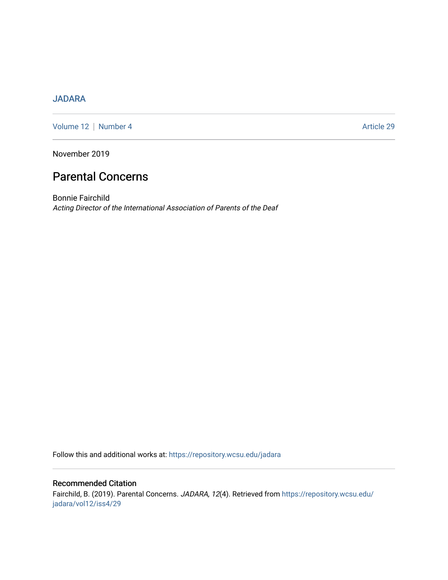# [JADARA](https://repository.wcsu.edu/jadara)

[Volume 12](https://repository.wcsu.edu/jadara/vol12) | [Number 4](https://repository.wcsu.edu/jadara/vol12/iss4) Article 29

November 2019

# Parental Concerns

Bonnie Fairchild Acting Director of the International Association of Parents of the Deaf

Follow this and additional works at: [https://repository.wcsu.edu/jadara](https://repository.wcsu.edu/jadara?utm_source=repository.wcsu.edu%2Fjadara%2Fvol12%2Fiss4%2F29&utm_medium=PDF&utm_campaign=PDFCoverPages)

# Recommended Citation Fairchild, B. (2019). Parental Concerns. JADARA, 12(4). Retrieved from [https://repository.wcsu.edu/](https://repository.wcsu.edu/jadara/vol12/iss4/29?utm_source=repository.wcsu.edu%2Fjadara%2Fvol12%2Fiss4%2F29&utm_medium=PDF&utm_campaign=PDFCoverPages) [jadara/vol12/iss4/29](https://repository.wcsu.edu/jadara/vol12/iss4/29?utm_source=repository.wcsu.edu%2Fjadara%2Fvol12%2Fiss4%2F29&utm_medium=PDF&utm_campaign=PDFCoverPages)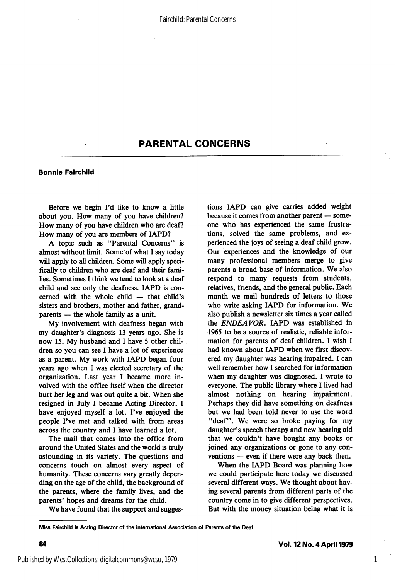# PARENTAL CONCERNS

### Bonnie Falrchlld

Before we begin I'd like to know a little about you. How many of you have children? How many of you have children who are deaf? How many of you are members of lAPD?

A topic such as "Parental Concerns" is almost without limit. Some of what I say today will apply to all children. Some will apply speci fically to children who are deaf and their fami lies. Sometimes I think we tend to look at a deaf child and see only the deafness. lAPD is con cerned with the whole child — that child's sisters and brothers, mother and father, grand parents — the whole family as a unit.

My involvement with deafness began with my daughter's diagnosis 13 years ago. She is now 15. My husband and I have 5 other chil dren so you can see I have a lot of experience as a parent. My work with lAPD began four years ago when I was elected secretary of the organization. Last year I became more in volved with the office itself when the director hurt her leg and was out quite a bit. When she resigned in July I became Acting Director. I have enjoyed myself a lot. I've enjoyed the people I've met and talked with from areas across the country and I have learned a lot.

The mail that comes into the office from around the United States and the world is truly astounding in its variety. The questions and concerns touch on almost every aspect of humanity. These concerns vary greatly depen ding on the age of the child, the background of the parents, where the family lives, and the parents' hopes and dreams for the child.

We have found that the support and sugges

tions lAPD can give carries added weight because it comes from another parent — some one who has experienced the same frustra tions, solved the same problems, and ex perienced the joys of seeing a deaf child grow. Our experiences and the knowledge of our many professional members merge to give parents a broad base of information. We also respond to many requests from students, relatives, friends, and the general public. Each month we mail hundreds of letters to those who write asking lAPD for information. We also publish a newsletter six times a year called the ENDEAVOR, lAPD was established in 1965 to be a source of realistic, reliable infor mation for parents of deaf children. I wish I had known about lAPD when we first discov ered my daughter was hearing impaired. I can well remember how I searched for information when my daughter was diagnosed. I wrote to everyone. The public library where I lived had almost nothing on hearing impairment. Perhaps they did have something on deafness but we had been told never to use the word "deaf". We were so broke paying for my daughter's speech therapy and new hearing aid that we couldn't have bought any books or joined any organizations or gone to any con ventions — even if there were any back then.

When the lAPD Board was planning how we could participate here today we discussed several different ways. We thought about hav ing several parents from different parts of the country come in to give different perspectives. But with the money situation being what it is

Miss Falrchlld Is Acting Director of the international Association of Parents of the Deaf.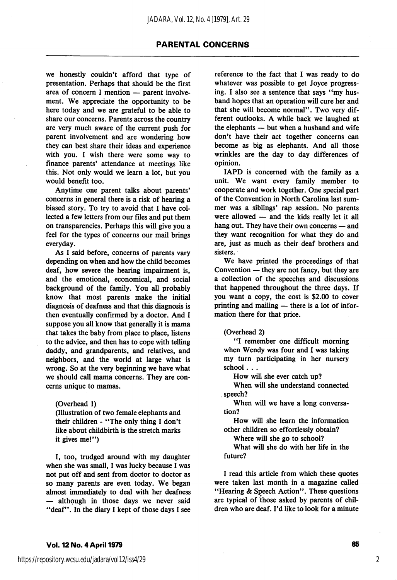# PARENTAL CONCERNS

we honestly couldn't afford that type of presentation. Perhaps that should be the first area of concern I mention — parent involve ment. We appreciate the opportunity to be here today and we are grateful to be able to share our concerns. Parents across the country are very much aware of the current push for parent involvement and are wondering how they can best share their ideas and experience with you. I wish there were some way to finance parents' attendance at meetings like this. Not only would we learn a lot, but you would benefit too.

Anytime one parent talks about parents' concerns in general there is a risk of hearing a biased story. To try to avoid that I have col lected a few letters from our files and put them on transparencies. Perhaps this will give you a feel for the types of concerns our mail brings everyday.

As I said before, concerns of parents vary depending on when and how the child becomes deaf, how severe the hearing impairment is, and the emotional, economical, and social background of the family. You all probably know that most parents make the initial diagnosis of deafness and that this diagnosis is then eventually confirmed by a doctor. And I suppose you all know that generally it is mama that takes the baby from place to place, listens to the advice, and then has to cope with telling daddy, and grandparents, and relatives, and neighbors, and the world at large what is wrong. So at the very beginning we have what we should call mama concerns. They are con cerns unique to mamas.

(Overhead 1)

(Illustration of two female elephants and their children - "The only thing I don't like about childbirth is the stretch marks it gives me!")

I, too, trudged around with my daughter when she was small, I was lucky because I was not put off and sent from doctor to doctor as so many parents are even today. We began almost immediately to deal with her deafness — although in those days we never said "deaf". In the diary I kept of those days I see reference to the fact that I was ready to do whatever was possible to get Joyce progress ing. I also see a sentence that says "my hus band hopes that an operation will cure her and that she will become normal". Two very dif ferent outlooks. A while back we laughed at the elephants — but when a husband and wife don't have their act together concerns can become as big as elephants. And all those wrinkles are the day to day differences of opinion.

lAPD is concerned with the family as a unit. We want every family member to cooperate and work together. One special part of the Convention in North Carolina last sum mer was a siblings' rap session. No parents were allowed — and the kids really let it all hang out. They have their own concerns — and they want recognition for what they do and are, just as much as their deaf brothers and sisters.

We have printed the proceedings of that Convention — they are not fancy, but they are a collection of the speeches and discussions that happened throughout the three days. If you want a copy, the cost is \$2.00 to cover printing and mailing — there is a lot of infor mation there for that price.

#### (Overhead 2)

"I remember one difficult morning when Wendy was four and I was taking my turn participating in her nursery school . . .

How will she ever catch up?

When will she understand connected speech?

When will we have a long conversa tion?

How will she learn the information other children so effortlessly obtain?

Where will she go to school?

What will she do with her life in the future?

I read this article from which these quotes were taken last month in a magazine called "Hearing & Speech Action". These questions are typical of those asked by parents of chil dren who are deaf. I'd like to look for a minute

#### Vol. 12 No. 4 April 1979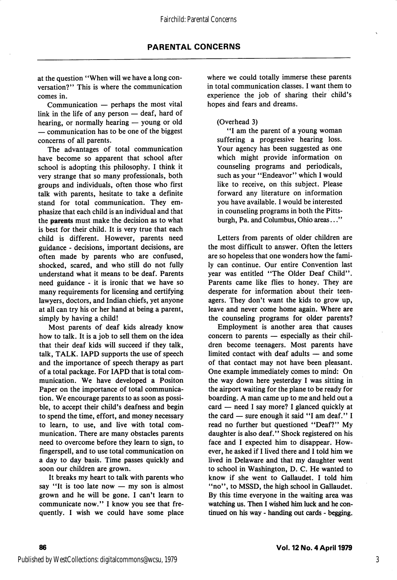at the question "When will we have a long con versation?" This is where the communication comes in.

Communication — perhaps the most vital link in the life of any person — deaf, hard of hearing, or normally hearing — young or old — communication has to be one of the biggest concerns of all parents.

The advantages of total communication have become so apparent that school after school is adopting this philosophy. I think it very strange that so many professionals, both groups and individuals, often those who first talk with parents, hesitate to take a definite stand for total communication. They em phasize that each child is an individual and that the parents must make the decision as to what is best for their child. It is very true that each child is different. However, parents need guidance - decisions, important decisions, are often made by parents who are confused, shocked, scared, and who still do not fully understand what it means to be deaf. Parents need guidance - it is ironic that we have so many requirements for licensing and certifying lawyers, doctors, and Indian chiefs, yet anyone at all can try his or her hand at being a parent, simply by having a child!

Most parents of deaf kids already know how to talk. It is a job to sell them on the idea that their deaf kids will succeed if they talk, talk, TALK. lAPD supports the use of speech and the importance of speech therapy as part of a total package. For lAPD that is total com munication. We have developed a Positon Paper on the importance of total communica tion. We encourage parents to as soon as possi ble, to accept their child's deafness and begin to spend the time, effort, and money necessary to learn, to use, and live with total com munication. There are many obstacles parents need to overcome before they learn to sign, to fingerspell, and to use total communication on a day to day basis. Time passes quickly and soon our children are grown.

It breaks my heart to talk with parents who say "It is too late now — my son is almost grown and he will be gone. I can't learn to communicate now." I know you see that fre quently. I wish we could have some place

where we could totally immerse these parents in total communication classes. I want them to experience the job of sharing their child's hopes and fears and dreams.

## (Overhead 3)

"I am the parent of a young woman suffering a progressive hearing loss. Your agency has been suggested as one which might provide information on counseling programs and periodicals, such as your "Endeavor" which I would like to receive, on this subject. Please forward any literature on information you have available. I would be interested in counseling programs in both the Pitts burgh, Pa. and Columbus, Ohio areas..."

Letters from parents of older children are the most difficult to answer. Often the letters are so hopeless that one wonders how the fami ly can continue. Our entire Convention last year was entitled "The Older Deaf Child". Parents came like flies to honey. They are desperate for information about their teen agers. They don't want the kids to grow up, leave and never come home again. Where are the counseling programs for older parents?

Employment is another area that causes concern to parents — especially as their chil dren become teenagers. Most parents have limited contact with deaf adults — and some of that contact may not have been pleasant. One example immediately comes to mind: On the way down here yesterday I was sitting in the airport waiting for the plane to be ready for boarding. A man came up to me and held out a card — need I say more? I glanced quickly at the card — sure enough it said "I am deaf." I read no further but questioned "Deaf?" My daughter is also deaf." Shock registered on his face and I expected him to disappear. How ever, he asked if I lived there and I told him we lived in Delaware and that my daughter went to school in Washington, D. C. He wanted to know if she went to Gallaudet. I told him "no", to MSSD, the high school in Gallaudet. By this time everyone in the waiting area was watching us. Then I wished him luck and he con tinued on his way - handing out cards - begging.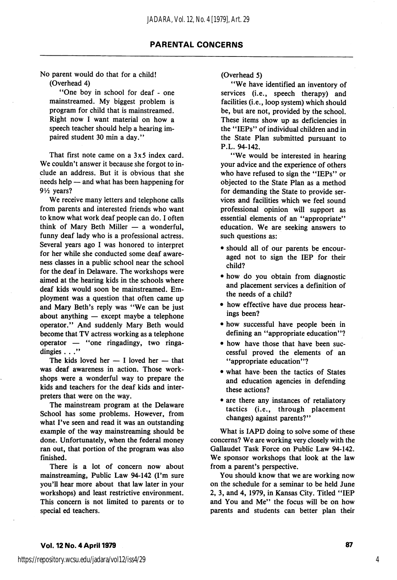No parent would do that for a child! (Overhead 4)

\*\*One boy in school for deaf - one mainstreamed. My biggest problem is program for child that is mainstreamed. Right now I want material on how a speech teacher should help a hearing im paired student 30 min a day.''

That first note came on a 3x5 index card. We couldn't answer it because she forgot to include an address. But it is obvious that she needs help — and what has been happening for 9V2 years?

We receive many letters and telephone calls from parents and interested friends who want to know what work deaf people can do. I often think of Mary Beth Miller — a wonderful, funny deaf lady who is a professional actress. Several years ago I was honored to interpret for her while she conducted some deaf aware ness classes in a public school near the school for the deaf in Delaware. The workshops were aimed at the hearing kids in the schools where deaf kids would soon be mainstreamed. Em ployment was a question that often came up and Mary Beth's reply was "We can be just about anything — except maybe a telephone operator." And suddenly Mary Beth would become that TV actress working as a telephone operator  $-$  "one ringadingy, two ringadingies . . ."

The kids loved her  $-$  I loved her  $-$  that was deaf awareness in action. Those work shops were a wonderful way to prepare the kids and teachers for the deaf kids and inter preters that were on the way.

The mainstream program at the Delaware School has some problems. However, from what I've seen and read it was an outstanding example of the way mainstreaming should be done. Unfortunately, when the federal money ran out, that portion of the program was also finished.

There is a lot of concern now about mainstreaming. Public Law 94-142 (I'm sure you'll hear more about that law later in your workshops) and least restrictive environment. This concern is not limited to parents or to special ed teachers.

## (Overhead 5)

'\*We have identified an inventory of services (i.e., speech therapy) and facilities (i.e., loop system) which should be, but are not, provided by the school. These items show up as deficiencies in the \*\*IEPs" of individual children and in the State Plan submitted pursuant to P.L. 94-142.

"We would be interested in hearing your advice and the experience of others who have refused to sign the "IEPs" or objected to the State Plan as a method for demanding the State to provide ser vices and facilities which we feel sound professional opinion will support as essential elements of an "appropriate" education. We are seeking answers to such questions as:

- should all of our parents be encour aged not to sign the lEP for their child?
- how do you obtain from diagnostic and placement services a definition of the needs of a child?
- how effective have due process hear ings been?
- how successful have people been in defining an "appropriate education"?
- how have those that have been suc cessful proved the elements of an "appropriate education"?
- what have been the tactics of States and education agencies in defending these actions?
- are there any instances of retaliatory tactics (i.e., through placement changes) against parents?"

What is lAPD doing to solve some of these concerns? We are working very closely with the Gallaudet Task Force on Public Law 94-142. We sponsor workshops that look at the law from a parent's perspective.

You should know that we are working now on the schedule for a seminar to be held June 2, 3, and 4, 1979, in Kansas City. Titled "lEP and You and Me" the focus will be on how parents and students can better plan their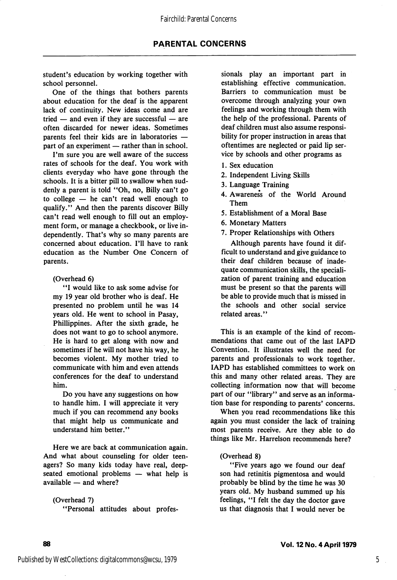student's education by working together with school personnel.

One of the things that bothers parents about education for the deaf is the apparent lack of continuity. New ideas come and are tried — and even if they are successful — are often discarded for newer ideas. Sometimes parents feel their kids are in laboratories part of an experiment — rather than in school.

I'm sure you are well aware of the success rates of schools for the deaf. You work with clients everyday who have gone through the schools. It is a bitter pill to swallow when sud denly a parent is told "Oh, no, Billy can't go to college — he can't read well enough to qualify." And then the parents discover Billy can't read well enough to fill out an employ ment form, or manage a checkbook, or live in dependently. That's why so many parents are concerned about education. I'll have to rank education as the Number One Concern of parents.

(Overhead 6)

'T would like to ask some advise for my 19 year old brother who is deaf. He presented no problem until he was 14 years old. He went to school in Pasay, Phillippines. After the sixth grade, he does not want to go to school anymore. He is hard to get along with now and sometimes if he will not have his way, he becomes violent. My mother tried to communicate with him and even attends conferences for the deaf to understand him.

Do you have any suggestions on how to handle him. I will appreciate it very much if you can recommend any books that might help us communicate and understand him better."

Here we are back at communication again. And what about counseling for older teen agers? So many kids today have real, deepseated emotional problems — what help is available — and where?

(Overhead 7) ^'Personal attitudes about profes sionals play an important part in establishing effective communication. Barriers to communication must be overcome through analyzing your own feelings and working through them with the help of the professional. Parents of deaf children must also assume responsi bility for proper instruction in areas that oftentimes are neglected or paid lip ser vice by schools and other programs as

- 1. Sex education
- 2. Independent Living Skills
- 3. Language Training
- 4. Awareness of the World Around Them
- 5. Establishment of a Moral Base
- 6. Monetary Matters
- 7. Proper Relationships with Others

Although parents have found it dif ficult to understand and give guidance to their deaf children because of inade quate communication skills, the speciali zation of parent training and education must be present so that the parents will be able to provide much that is missed in the schools and other social service related areas."

This is an example of the kind of recom mendations that came out of the last lAPD Convention. It illustrates well the need for parents and professionals to work together. lAPD has established committees to work on this and many other related areas. They are collecting information now that will become part of our ''library" and serve as an informa tion base for responding to parents' concerns.

When you read recommendations like this again you must consider the lack of training most parents receive. Are they able to do things like Mr. Harrelson recommends here?

### (Overhead 8)

"Five years ago we found our deaf son had retinitis pigmentosa and would probably be blind by the time he was 30 years old. My husband summed up his feelings, "I felt the day the doctor gave us that diagnosis that I would never be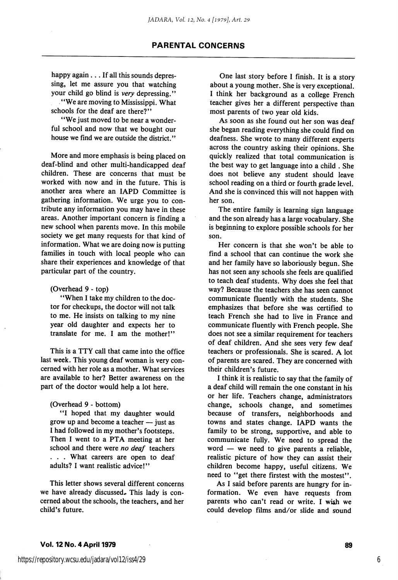# PARENTAL CONCERNS

happy again . . . If all this sounds depressing, let me assure you that watching your child go blind is very depressing." \* \* We are moving to Mississippi. What

schools for the deaf are there?"

"We just moved to be near a wonderful school and now that we bought our house we find we are outside the district."

More and more emphasis is being placed on deaf-blind and other multi-handicapped deaf children. These are concerns that must be worked with now and in the future. This is another area where an lAPD Committee is gathering information. We urge you to con tribute any information you may have in these areas. Another important concern is finding a new school when parents move. In this mobile society we get many requests for that kind of information. What we are doing now is putting families in touch with local people who can share their experiences and knowledge of that particular part of the country.

(Overhead 9 - top)

\*\*When I take my children to the doc tor for checkups, the doctor will not talk to me. He insists on talking to my nine year old daughter and expects her to translate for me. I am the mother!"

This is a TTY call that came into the office last week. This young deaf woman is very con cerned with her role as a mother. What services are available to her? Better awareness on the part of the doctor would help a lot here.

#### (Overhead 9 - bottom)

\*\*I hoped that my daughter would grow up and become a teacher — just as I had followed in my mother's footsteps. Then I went to a PTA meeting at her school and there were no deaf teachers . . . What careers are open to deaf adults? I want realistic advice!"

This letter shows several different concerns we have already discussed. This lady is concerned about the schools, the teachers, and her child's future.

One last story before I finish. It is a story about a young mother. She is very exceptional. I think her background as a college French teacher gives her a different perspective than most parents of two year old kids.

As soon as she found out her son was deaf she began reading everything she could find on deafness. She wrote to many different experts across the country asking their opinions. She quickly realized that total communication is the best way to get language into a child . She does not believe any student should leave school reading on a third or fourth grade level. And she is convinced this will not happen with her son.

The entire family is learning sign language and the son already has a large vocabulary. She is beginning to explore possible schools for her son.

Her concern is that she won't be able to find a school that can continue the work she and her family have so laboriously begun. She has not seen any schools she feels are qualified to teach deaf students. Why does she feel that way? Because the teachers she has seen cannot communicate fluently with the students. She emphasizes that before she was certified to teach French she had to live in France and communicate fluently with French people. She does not see a similar requirement for teachers of deaf children. And she sees very few deaf teachers or professionals. She is scared. A lot of parents are scared. They are concerned with their children's future.

I think it is realistic to say that the family of a deaf child will remain the one constant in his or her life. Teachers change, administrators change, schools change, and sometimes because of transfers, neighborhoods and towns and states change. lAPD wants the family to be strong, supportive, and able to communicate fully. We need to spread the word — we need to give parents a reliable, realistic picture of how they can assist their children become happy, useful citizens. We need to "get there firstest with the mostest".

As I said before parents are hungry for in formation. We even have requests from parents who can't read or write. I wish we could develop films and/or slide and sound

#### Vol. 12 No. 4 April 1979 89